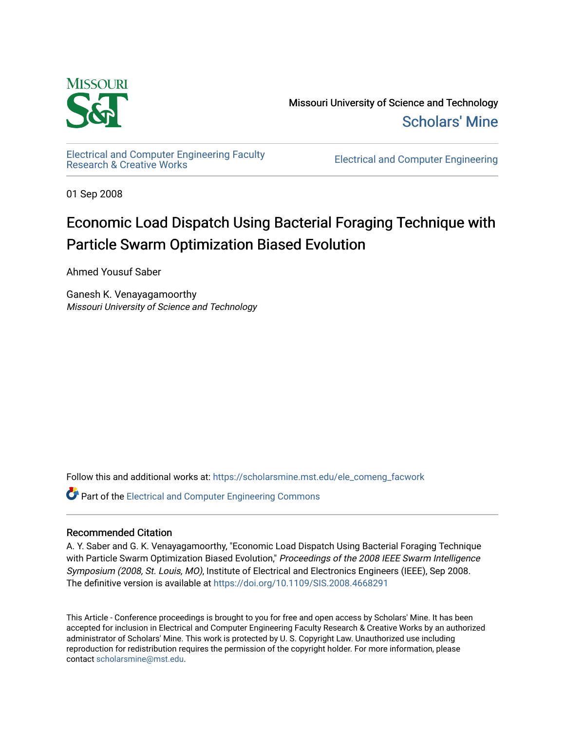

Missouri University of Science and Technology [Scholars' Mine](https://scholarsmine.mst.edu/) 

[Electrical and Computer Engineering Faculty](https://scholarsmine.mst.edu/ele_comeng_facwork)

**Electrical and Computer Engineering** 

01 Sep 2008

# Economic Load Dispatch Using Bacterial Foraging Technique with Particle Swarm Optimization Biased Evolution

Ahmed Yousuf Saber

Ganesh K. Venayagamoorthy Missouri University of Science and Technology

Follow this and additional works at: [https://scholarsmine.mst.edu/ele\\_comeng\\_facwork](https://scholarsmine.mst.edu/ele_comeng_facwork?utm_source=scholarsmine.mst.edu%2Fele_comeng_facwork%2F993&utm_medium=PDF&utm_campaign=PDFCoverPages)

**C** Part of the Electrical and Computer Engineering Commons

# Recommended Citation

A. Y. Saber and G. K. Venayagamoorthy, "Economic Load Dispatch Using Bacterial Foraging Technique with Particle Swarm Optimization Biased Evolution," Proceedings of the 2008 IEEE Swarm Intelligence Symposium (2008, St. Louis, MO), Institute of Electrical and Electronics Engineers (IEEE), Sep 2008. The definitive version is available at <https://doi.org/10.1109/SIS.2008.4668291>

This Article - Conference proceedings is brought to you for free and open access by Scholars' Mine. It has been accepted for inclusion in Electrical and Computer Engineering Faculty Research & Creative Works by an authorized administrator of Scholars' Mine. This work is protected by U. S. Copyright Law. Unauthorized use including reproduction for redistribution requires the permission of the copyright holder. For more information, please contact [scholarsmine@mst.edu](mailto:scholarsmine@mst.edu).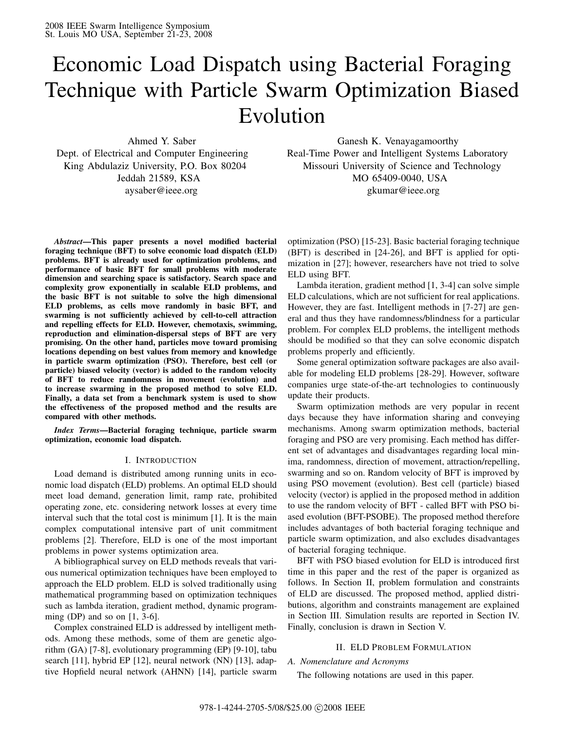# Economic Load Dispatch using Bacterial Foraging Technique with Particle Swarm Optimization Biased Evolution

*Abstract***—This paper presents a novel modified bacterial foraging technique (BFT) to solve economic load dispatch (ELD) problems. BFT is already used for optimization problems, and performance of basic BFT for small problems with moderate dimension and searching space is satisfactory. Search space and complexity grow exponentially in scalable ELD problems, and the basic BFT is not suitable to solve the high dimensional ELD problems, as cells move randomly in basic BFT, and swarming is not sufficiently achieved by cell-to-cell attraction and repelling effects for ELD. However, chemotaxis, swimming, reproduction and elimination-dispersal steps of BFT are very promising. On the other hand, particles move toward promising locations depending on best values from memory and knowledge in particle swarm optimization (PSO). Therefore, best cell (or particle) biased velocity (vector) is added to the random velocity of BFT to reduce randomness in movement (evolution) and to increase swarming in the proposed method to solve ELD. Finally, a data set from a benchmark system is used to show the effectiveness of the proposed method and the results are compared with other methods.**

*Index Terms***—Bacterial foraging technique, particle swarm optimization, economic load dispatch.**

# I. INTRODUCTION

Load demand is distributed among running units in economic load dispatch (ELD) problems. An optimal ELD should meet load demand, generation limit, ramp rate, prohibited operating zone, etc. considering network losses at every time interval such that the total cost is minimum [1]. It is the main complex computational intensive part of unit commitment problems [2]. Therefore, ELD is one of the most important problems in power systems optimization area.

A bibliographical survey on ELD methods reveals that various numerical optimization techniques have been employed to approach the ELD problem. ELD is solved traditionally using mathematical programming based on optimization techniques such as lambda iteration, gradient method, dynamic programming (DP) and so on  $[1, 3-6]$ .

Complex constrained ELD is addressed by intelligent methods. Among these methods, some of them are genetic algorithm (GA) [7-8], evolutionary programming (EP) [9-10], tabu search [11], hybrid EP [12], neural network (NN) [13], adaptive Hopfield neural network (AHNN) [14], particle swarm

Ahmed Y. Saber Ganesh K. Venayagamoorthy Dept. of Electrical and Computer Engineering Real-Time Power and Intelligent Systems Laboratory King Abdulaziz University, P.O. Box 80204 Missouri University of Science and Technology Jeddah 21589, KSA MO 65409-0040, USA aysaber@ieee.org gkumar@ieee.org

> optimization (PSO) [15-23]. Basic bacterial foraging technique (BFT) is described in [24-26], and BFT is applied for optimization in [27]; however, researchers have not tried to solve ELD using BFT.

> Lambda iteration, gradient method [1, 3-4] can solve simple ELD calculations, which are not sufficient for real applications. However, they are fast. Intelligent methods in [7-27] are general and thus they have randomness/blindness for a particular problem. For complex ELD problems, the intelligent methods should be modified so that they can solve economic dispatch problems properly and efficiently.

> Some general optimization software packages are also available for modeling ELD problems [28-29]. However, software companies urge state-of-the-art technologies to continuously update their products.

> Swarm optimization methods are very popular in recent days because they have information sharing and conveying mechanisms. Among swarm optimization methods, bacterial foraging and PSO are very promising. Each method has different set of advantages and disadvantages regarding local minima, randomness, direction of movement, attraction/repelling, swarming and so on. Random velocity of BFT is improved by using PSO movement (evolution). Best cell (particle) biased velocity (vector) is applied in the proposed method in addition to use the random velocity of BFT - called BFT with PSO biased evolution (BFT-PSOBE). The proposed method therefore includes advantages of both bacterial foraging technique and particle swarm optimization, and also excludes disadvantages of bacterial foraging technique.

> BFT with PSO biased evolution for ELD is introduced first time in this paper and the rest of the paper is organized as follows. In Section II, problem formulation and constraints of ELD are discussed. The proposed method, applied distributions, algorithm and constraints management are explained in Section III. Simulation results are reported in Section IV. Finally, conclusion is drawn in Section V.

### II. ELD PROBLEM FORMULATION

## *A. Nomenclature and Acronyms*

The following notations are used in this paper.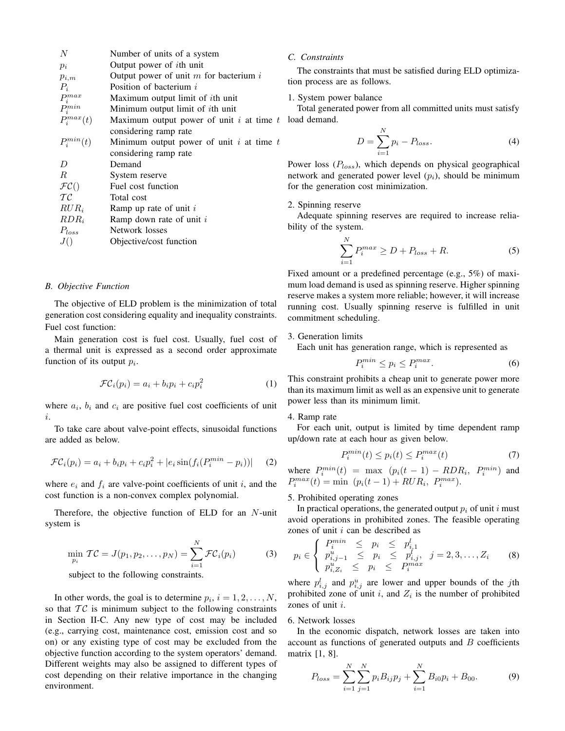| N                       | Number of units of a system                |
|-------------------------|--------------------------------------------|
| $p_i$                   | Output power of <i>i</i> th unit           |
| $p_{i,m}$               | Output power of unit $m$ for bacterium $i$ |
| $P_i$                   | Position of bacterium i                    |
| $P_i^{max} \ P_i^{min}$ | Maximum output limit of <i>i</i> th unit   |
|                         | Minimum output limit of $i$ th unit        |
| $P_i^{max}(t)$          | Maximum output power of unit i at time $t$ |
|                         | considering ramp rate                      |
| $P_i^{min}(t)$          | Minimum output power of unit i at time $t$ |
|                         | considering ramp rate                      |
| D                       | Demand                                     |
| R.                      | System reserve                             |
| $\mathcal{FC}()$        | Fuel cost function                         |
| TC                      | Total cost                                 |
| $RUR_i$                 | Ramp up rate of unit $i$                   |
| $RDR_i$                 | Ramp down rate of unit $i$                 |
| $P_{loss}$              | Network losses                             |
| J()                     | Objective/cost function                    |
|                         |                                            |

#### *B. Objective Function*

The objective of ELD problem is the minimization of total generation cost considering equality and inequality constraints. Fuel cost function:

Main generation cost is fuel cost. Usually, fuel cost of a thermal unit is expressed as a second order approximate function of its output *pi*.

$$
\mathcal{FC}_i(p_i) = a_i + b_i p_i + c_i p_i^2 \tag{1}
$$

where  $a_i$ ,  $b_i$  and  $c_i$  are positive fuel cost coefficients of unit *i*.

To take care about valve-point effects, sinusoidal functions are added as below.

$$
\mathcal{FC}_i(p_i) = a_i + b_i p_i + c_i p_i^2 + |e_i \sin(f_i(P_i^{min} - p_i))| \tag{2}
$$

where  $e_i$  and  $f_i$  are valve-point coefficients of unit  $i$ , and the cost function is a non-convex complex polynomial.

Therefore, the objective function of ELD for an *N*-unit system is

$$
\min_{p_i} \mathcal{TC} = J(p_1, p_2, \dots, p_N) = \sum_{i=1}^N \mathcal{FC}_i(p_i)
$$
\nsubject to the following constraints:

\n(3)

subject to the following constraints.

In other words, the goal is to determine  $p_i$ ,  $i = 1, 2, \ldots, N$ , so that  $TC$  is minimum subject to the following constraints in Section II-C. Any new type of cost may be included (e.g., carrying cost, maintenance cost, emission cost and so on) or any existing type of cost may be excluded from the objective function according to the system operators' demand. Different weights may also be assigned to different types of cost depending on their relative importance in the changing environment.

#### *C. Constraints*

The constraints that must be satisfied during ELD optimization process are as follows.

# 1. System power balance

Total generated power from all committed units must satisfy  $t$  load demand.

$$
D = \sum_{i=1}^{N} p_i - P_{loss}.
$$
\n<sup>(4)</sup>

Power loss (*Ploss*), which depends on physical geographical network and generated power level (*pi*), should be minimum for the generation cost minimization.

# 2. Spinning reserve

Adequate spinning reserves are required to increase reliability of the system.

$$
\sum_{i=1}^{N} P_i^{max} \ge D + P_{loss} + R. \tag{5}
$$

Fixed amount or a predefined percentage (e.g., 5%) of maximum load demand is used as spinning reserve. Higher spinning reserve makes a system more reliable; however, it will increase running cost. Usually spinning reserve is fulfilled in unit commitment scheduling.

3. Generation limits

Each unit has generation range, which is represented as

$$
P_i^{min} \le p_i \le P_i^{max}.\tag{6}
$$

This constraint prohibits a cheap unit to generate power more than its maximum limit as well as an expensive unit to generate power less than its minimum limit.

#### 4. Ramp rate

For each unit, output is limited by time dependent ramp up/down rate at each hour as given below.

$$
P_i^{min}(t) \le p_i(t) \le P_i^{max}(t) \tag{7}
$$

where  $P_i^{min}(t) = \max (p_i(t-1) - RDR_i, P_i^{min})$  and  $P_i^{max}(t) = \min (p_i(t-1) + RUR_i, P_i^{max}).$ 

# 5. Prohibited operating zones

In practical operations, the generated output  $p_i$  of unit *i* must avoid operations in prohibited zones. The feasible operating zones of unit *i* can be described as

$$
p_i \in \left\{ \begin{array}{l l l} P_i^{min} \leq p_i \leq p_{i,1}^l \\ P_{i,j-1}^u \leq p_i \leq p_{i,j}^l, \quad j=2,3,\ldots,Z_i \\ P_{i,Z_i}^u \leq p_i \leq P_i^{max} \end{array} \right. \tag{8}
$$

where  $p_{i,j}^l$  and  $p_{i,j}^u$  are lower and upper bounds of the *j*th prohibited zone of unit *i*, and *Z<sup>i</sup>* is the number of prohibited zones of unit *i*.

#### 6. Network losses

In the economic dispatch, network losses are taken into account as functions of generated outputs and *B* coefficients matrix [1, 8].

$$
P_{loss} = \sum_{i=1}^{N} \sum_{j=1}^{N} p_i B_{ij} p_j + \sum_{i=1}^{N} B_{i0} p_i + B_{00}.
$$
 (9)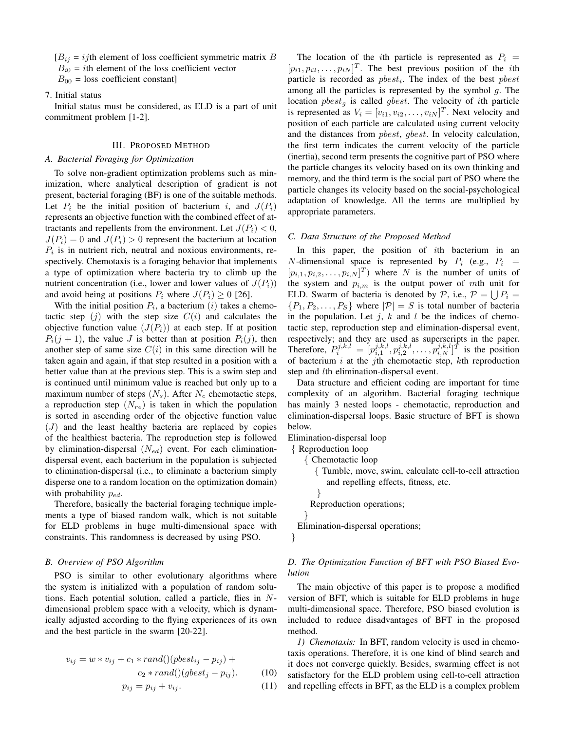$[B_{ij} = i j$ th element of loss coefficient symmetric matrix *B* 

 $B_{i0} = i$ th element of the loss coefficient vector

 $B_{00}$  = loss coefficient constant]

# 7. Initial status

Initial status must be considered, as ELD is a part of unit commitment problem [1-2].

# III. PROPOSED METHOD

# *A. Bacterial Foraging for Optimization*

To solve non-gradient optimization problems such as minimization, where analytical description of gradient is not present, bacterial foraging (BF) is one of the suitable methods. Let  $P_i$  be the initial position of bacterium *i*, and  $J(P_i)$ represents an objective function with the combined effect of attractants and repellents from the environment. Let  $J(P_i) < 0$ ,  $J(P_i) = 0$  and  $J(P_i) > 0$  represent the bacterium at location  $P_i$  is in nutrient rich, neutral and noxious environments, respectively. Chemotaxis is a foraging behavior that implements a type of optimization where bacteria try to climb up the nutrient concentration (i.e., lower and lower values of  $J(P_i)$ ) and avoid being at positions  $P_i$  where  $J(P_i) \geq 0$  [26].

With the initial position  $P_i$ , a bacterium  $(i)$  takes a chemotactic step  $(j)$  with the step size  $C(i)$  and calculates the objective function value  $(J(P_i))$  at each step. If at position  $P_i(j + 1)$ , the value *J* is better than at position  $P_i(j)$ , then another step of same size  $C(i)$  in this same direction will be taken again and again, if that step resulted in a position with a better value than at the previous step. This is a swim step and is continued until minimum value is reached but only up to a maximum number of steps  $(N_s)$ . After  $N_c$  chemotactic steps, a reproduction step (*Nre*) is taken in which the population is sorted in ascending order of the objective function value (*J*) and the least healthy bacteria are replaced by copies of the healthiest bacteria. The reproduction step is followed by elimination-dispersal (*Ned*) event. For each eliminationdispersal event, each bacterium in the population is subjected to elimination-dispersal (i.e., to eliminate a bacterium simply disperse one to a random location on the optimization domain) with probability *ped*.

Therefore, basically the bacterial foraging technique implements a type of biased random walk, which is not suitable for ELD problems in huge multi-dimensional space with constraints. This randomness is decreased by using PSO.

# *B. Overview of PSO Algorithm*

PSO is similar to other evolutionary algorithms where the system is initialized with a population of random solutions. Each potential solution, called a particle, flies in *N*dimensional problem space with a velocity, which is dynamically adjusted according to the flying experiences of its own and the best particle in the swarm [20-22].

$$
v_{ij} = w * v_{ij} + c_1 * rand((pbest_{ij} - p_{ij}) + c_2 * rand((pbest_j - p_{ij})).
$$
\n(10)

$$
p_{ij} = p_{ij} + v_{ij}.\tag{11}
$$

The location of the *i*th particle is represented as  $P_i$  =  $[p_{i1}, p_{i2}, \ldots, p_{iN}]^T$ . The best previous position of the *i*th particle is recorded as *pbesti*. The index of the best *pbest* among all the particles is represented by the symbol *g*. The location *pbest<sup>g</sup>* is called *gbest*. The velocity of *i*th particle is represented as  $V_i = [v_{i1}, v_{i2}, \dots, v_{iN}]^T$ . Next velocity and position of each particle are calculated using current velocity and the distances from *pbest*, *gbest*. In velocity calculation, the first term indicates the current velocity of the particle (inertia), second term presents the cognitive part of PSO where the particle changes its velocity based on its own thinking and memory, and the third term is the social part of PSO where the particle changes its velocity based on the social-psychological adaptation of knowledge. All the terms are multiplied by appropriate parameters.

#### *C. Data Structure of the Proposed Method*

In this paper, the position of *i*th bacterium in an *N*-dimensional space is represented by  $P_i$  (e.g.,  $P_i$  =  $[p_{i,1}, p_{i,2}, \ldots, p_{i,N}]^T$  where *N* is the number of units of the system and  $p_{i,m}$  is the output power of *mth* unit for ELD. Swarm of bacteria is denoted by  $P$ , i.e.,  $P = \bigcup P_i$  ${P_1, P_2, \ldots, P_S}$  where  $|\mathcal{P}| = S$  is total number of bacteria in the population. Let  $j$ ,  $k$  and  $l$  be the indices of chemotactic step, reproduction step and elimination-dispersal event, respectively; and they are used as superscripts in the paper. Therefore,  $P_i^{j,k,l} = [p_{i,1}^{j,k,l}, p_{i,2}^{j,k,l}, \ldots, p_{i,N}^{j,k,l}]^T$  is the position of bacterium *i* at the *j*th chemotactic step, *k*th reproduction step and *l*th elimination-dispersal event.

Data structure and efficient coding are important for time complexity of an algorithm. Bacterial foraging technique has mainly 3 nested loops - chemotactic, reproduction and elimination-dispersal loops. Basic structure of BFT is shown below.

Elimination-dispersal loop

{ Reproduction loop

}

{ Chemotactic loop

{ Tumble, move, swim, calculate cell-to-cell attraction and repelling effects, fitness, etc. } Reproduction operations; } Elimination-dispersal operations;

# *D. The Optimization Function of BFT with PSO Biased Evolution*

The main objective of this paper is to propose a modified version of BFT, which is suitable for ELD problems in huge multi-dimensional space. Therefore, PSO biased evolution is included to reduce disadvantages of BFT in the proposed method.

*1) Chemotaxis:* In BFT, random velocity is used in chemotaxis operations. Therefore, it is one kind of blind search and it does not converge quickly. Besides, swarming effect is not satisfactory for the ELD problem using cell-to-cell attraction and repelling effects in BFT, as the ELD is a complex problem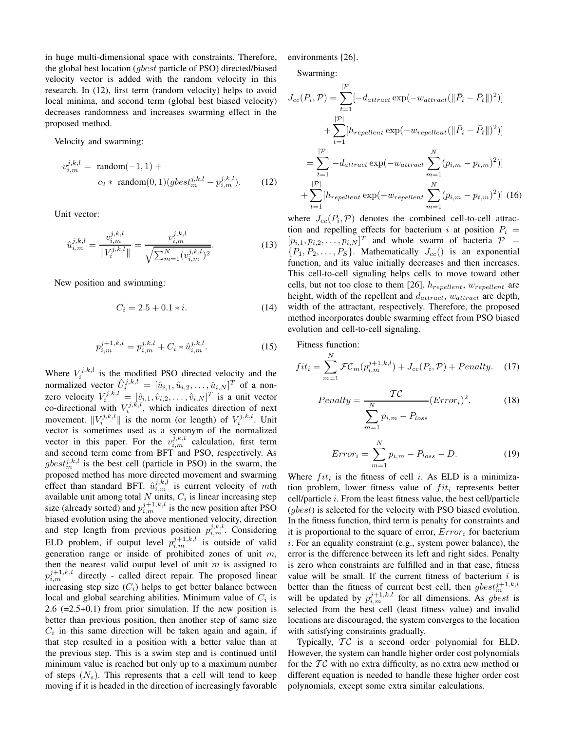in huge multi-dimensional space with constraints. Therefore, the global best location (*gbest* particle of PSO) directed/biased velocity vector is added with the random velocity in this research. In (12), first term (random velocity) helps to avoid local minima, and second term (global best biased velocity) decreases randomness and increases swarming effect in the proposed method.

Velocity and swarming:

$$
v_{i,m}^{j,k,l} = \text{random}(-1,1) +
$$
  

$$
c_2 * \text{random}(0,1)(gbest_m^{j,k,l} - p_{i,m}^{j,k,l}).
$$
 (12)

Unit vector:

$$
\hat{u}_{i,m}^{j,k,l} = \frac{v_{i,m}^{j,k,l}}{\|V_i^{j,k,l}\|} = \frac{v_{i,m}^{j,k,l}}{\sqrt{\sum_{m=1}^N (v_{i,m}^{j,k,l})^2}}.
$$
\n(13)

New position and swimming:

$$
C_i = 2.5 + 0.1 * i. \tag{14}
$$

$$
p_{i,m}^{j+1,k,l} = p_{i,m}^{j,k,l} + C_i * \hat{u}_{i,m}^{j,k,l}.
$$
 (15)

Where  $V_i^{j,k,l}$  is the modified PSO directed velocity and the normalized vector  $\hat{U}_i^{j,k,l} = [\hat{u}_{i,1}, \hat{u}_{i,2}, \dots, \hat{u}_{i,N}]^T$  of a nonzero velocity  $V_i^{j,k,l} = [\hat{v}_{i,1}, \hat{v}_{i,2}, \dots, \hat{v}_{i,N}]^T$  is a unit vector co-directional with  $V_i^{j,k,l}$ , which indicates direction of next movement.  $||V_i^{j,k,l}||$  is the norm (or length) of  $V_i^{j,k,l}$ . Unit vector is sometimes used as a synonym of the normalized vector in this paper. For the  $v_{i,m}^{j,k,l}$  calculation, first term and second term come from BFT and PSO, respectively. As  $gbest_m^{j,k,l}$  is the best cell (particle in PSO) in the swarm, the proposed method has more directed movement and swarming effect than standard BFT.  $\hat{u}_{i,m}^{j,k,l}$  is current velocity of mth available unit among total *N* units, *C<sup>i</sup>* is linear increasing step size (already sorted) and  $p_{i,m}^{j+1,k,l}$  is the new position after PSO biased evolution using the above mentioned velocity, direction and step length from previous position  $p_{i,m}^{j,k,l}$ . Considering ELD problem, if output level  $p_{i,m}^{j+1,k,l}$  is outside of valid generation range or inside of prohibited zones of unit *m*, then the nearest valid output level of unit *m* is assigned to  $p_{i,m}^{j+1,k,l}$  directly - called direct repair. The proposed linear increasing step size  $(C_i)$  helps to get better balance between local and global searching abilities. Minimum value of *C<sup>i</sup>* is 2.6 (=2.5+0.1) from prior simulation. If the new position is better than previous position, then another step of same size  $C_i$  in this same direction will be taken again and again, if that step resulted in a position with a better value than at the previous step. This is a swim step and is continued until minimum value is reached but only up to a maximum number of steps  $(N_s)$ . This represents that a cell will tend to keep moving if it is headed in the direction of increasingly favorable environments [26].

 $|D|$ 

Swarming:

$$
J_{cc}(P_i, \mathcal{P}) = \sum_{t=1}^{|\mathcal{P}|} [-d_{attract} \exp(-w_{attract}(\|\bar{P}_i - \bar{P}_t\|)^2)]
$$
  
+ 
$$
\sum_{t=1}^{|\mathcal{P}|} [h_{repellent} \exp(-w_{repellent}(\|\bar{P}_i - \bar{P}_t\|)^2)]
$$
  
= 
$$
\sum_{t=1}^{|\mathcal{P}|} [-d_{attract} \exp(-w_{attract} \sum_{m=1}^{N} (p_{i,m} - p_{t,m})^2)]
$$
  
+ 
$$
\sum_{t=1}^{|\mathcal{P}|} [h_{repellent} \exp(-w_{repellent} \sum_{m=1}^{N} (p_{i,m} - p_{t,m})^2)]
$$
(16)

where  $J_{cc}(P_i, P)$  denotes the combined cell-to-cell attraction and repelling effects for bacterium *i* at position  $P_i$  =  $[p_{i,1}, p_{i,2}, \ldots, p_{i,N}]^T$  and whole swarm of bacteria  $\mathcal{P}$  =  $\{P_1, P_2, \ldots, P_S\}$ . Mathematically  $J_{cc}$ () is an exponential function, and its value initially decreases and then increases. This cell-to-cell signaling helps cells to move toward other cells, but not too close to them [26]. *hrepellent*, *wrepellent* are height, width of the repellent and *dattract*, *wattract* are depth, width of the attractant, respectively. Therefore, the proposed method incorporates double swarming effect from PSO biased evolution and cell-to-cell signaling.

Fitness function: *N*

$$
fit_i = \sum_{m=1}^{N} \mathcal{FC}_m(p_{i,m}^{j+1,k,l}) + J_{cc}(P_i, \mathcal{P}) + Penalty.
$$
 (17)

$$
Penalty = \frac{TC}{\sum_{m=1}^{N} p_{i,m} - P_{loss}} (Error_i)^2.
$$
 (18)

$$
Error_i = \sum_{m=1}^{N} p_{i,m} - P_{loss} - D.
$$
 (19)

Where  $fit_i$  is the fitness of cell *i*. As ELD is a minimization problem, lower fitness value of  $fit<sub>i</sub>$  represents better cell/particle *i*. From the least fitness value, the best cell/particle (*gbest*) is selected for the velocity with PSO biased evolution. In the fitness function, third term is penalty for constraints and it is proportional to the square of error, *Error<sup>i</sup>* for bacterium *i*. For an equality constraint (e.g., system power balance), the error is the difference between its left and right sides. Penalty is zero when constraints are fulfilled and in that case, fitness value will be small. If the current fitness of bacterium *i* is better than the fitness of current best cell, then  $gbest^{j+1,k,l}_{m}$ will be updated by  $p_{i,m}^{j+1,k,l}$  for all dimensions. As *gbest* is selected from the best cell (least fitness value) and invalid locations are discouraged, the system converges to the location with satisfying constraints gradually.

Typically,  $TC$  is a second order polynomial for ELD. However, the system can handle higher order cost polynomials for the  $TC$  with no extra difficulty, as no extra new method or different equation is needed to handle these higher order cost polynomials, except some extra similar calculations.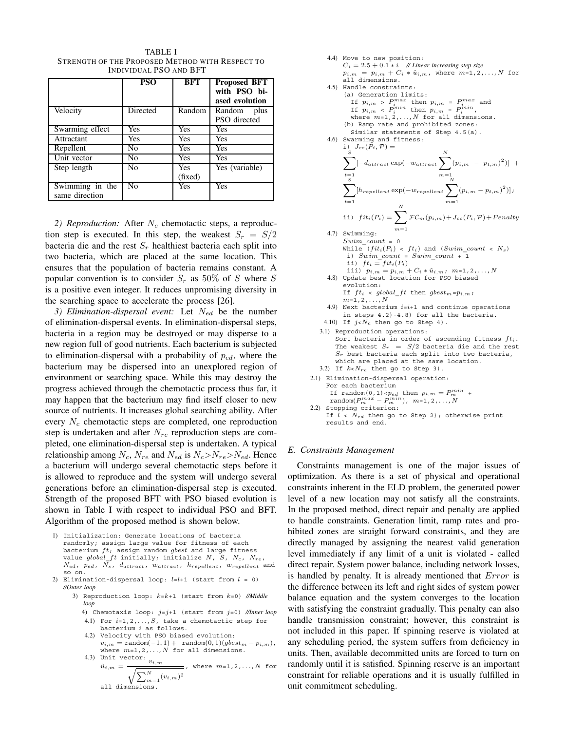|                                   | <b>PSO</b>     | <b>BFT</b>     | <b>Proposed BFT</b><br>with PSO bi-<br>ased evolution |  |  |  |  |  |  |
|-----------------------------------|----------------|----------------|-------------------------------------------------------|--|--|--|--|--|--|
| Velocity                          | Directed       | Random         | Random<br>plus<br>PSO directed                        |  |  |  |  |  |  |
| Swarming effect                   | Yes            | Yes            | <b>Yes</b>                                            |  |  |  |  |  |  |
| Attractant                        | Yes            | Yes            | Yes                                                   |  |  |  |  |  |  |
| Repellent                         | No             | Yes            | Yes                                                   |  |  |  |  |  |  |
| Unit vector                       | No             | Yes            | Yes                                                   |  |  |  |  |  |  |
| Step length                       | N <sub>0</sub> | Yes<br>(fixed) | Yes (variable)                                        |  |  |  |  |  |  |
| Swimming in the<br>same direction | N <sub>0</sub> | Yes            | <b>Yes</b>                                            |  |  |  |  |  |  |

TABLE I STRENGTH OF THE PROPOSED METHOD WITH RESPECT TO INDIVIDUAL PSO AND BFT

*2) Reproduction:* After *N<sup>c</sup>* chemotactic steps, a reproduction step is executed. In this step, the weakest  $S_r = S/2$ bacteria die and the rest  $S_r$  healthiest bacteria each split into two bacteria, which are placed at the same location. This ensures that the population of bacteria remains constant. A popular convention is to consider  $S_r$  as 50% of *S* where *S* is a positive even integer. It reduces unpromising diversity in the searching space to accelerate the process [26].

*3) Elimination-dispersal event:* Let *Ned* be the number of elimination-dispersal events. In elimination-dispersal steps, bacteria in a region may be destroyed or may disperse to a new region full of good nutrients. Each bacterium is subjected to elimination-dispersal with a probability of *ped*, where the bacterium may be dispersed into an unexplored region of environment or searching space. While this may destroy the progress achieved through the chemotactic process thus far, it may happen that the bacterium may find itself closer to new source of nutrients. It increases global searching ability. After every *N<sup>c</sup>* chemotactic steps are completed, one reproduction step is undertaken and after *Nre* reproduction steps are completed, one elimination-dispersal step is undertaken. A typical relationship among  $N_c$ ,  $N_{re}$  and  $N_{ed}$  is  $N_c > N_{re} > N_{ed}$ . Hence a bacterium will undergo several chemotactic steps before it is allowed to reproduce and the system will undergo several generations before an elimination-dispersal step is executed. Strength of the proposed BFT with PSO biased evolution is shown in Table I with respect to individual PSO and BFT. Algorithm of the proposed method is shown below.

- 1) Initialization: Generate locations of bacteria randomly; assign large value for fitness of each bacterium *ft*; assign random *gbest* and large fitness value *global*\_*f t* initially; initialize *N*, *S*, *Nc*, *Nre*, *Ned*, *ped*, *Ns*, *dattract*, *wattract*, *hrepellent*, *wrepellent* and so on.
- 2) Elimination-dispersal loop: *l*=*l*+1 (start from *l* = 0) *//Outer loop*
	- 3) Reproduction loop: *k*=*k*+1 (start from *k*=0) *//Middle loop*
		- 4) Chemotaxis loop: *j*=*j*+1 (start from *j*=0) *//Inner loop* 4.1) For *i*=1,2,*...*,*S*, take a chemotactic step for bacterium *i* as follows.
		- 4.2) Velocity with PSO biased evolution:  $v_{i,m} = \text{random}(-1,1) + \text{random}(0,1)(gbest_m - p_{i,m}),$ where *m*=1,2,*...*,*N* for all dimensions.
		- 4.3) Unit vector:  $v_{i,m} = \frac{\hat{u}_{i,m}}{\sqrt{\sum_{i}^N y_{i,j}^i}}$ , where *m*=1,2,*...*,*N* for

$$
u_{i,m} = \frac{1}{\sqrt{\sum_{m=1}^{N} (v_{i,m})^2}}, \text{ where } m=1,2,\ldots,N \text{ is a}
$$
all dimensions.

\n- 4.4) Move to new position:\n 
$$
C_i = 2.5 + 0.1 * i
$$
\n $h(i) M$  more *invariant increasing step size*\n $p_{i,m} = p_{i,m} + C_i * i_{im}$ , where  $m=1,2,\ldots,N$  for all dimensions.\n
\n- 4.5) Hande constraints:\n
	\n- (a) Generation limits:\n If  $p_{i,m} > P_i^{max}$  then  $p_{i,m} = P_i^{max}$  and If  $p_{i,m} > P_i^{max}$  then  $p_{i,m} = P_i^{max}$  and  $f(p_{i,m} > P_i^{max})$  then  $p_{i,m} = P_i^{max}$  and  $f(p_{i,m} > P_i^{max})$  when  $p_{i,m} = P_i^{max}$  and  $f(p_{i,m}) = 2, \ldots, N$  for all dimensions.\n
	\n- 4.6) Swanning and fitness:\n
		\n- similar statements of Step 4.5(a).
		\n\n
	\n- 4.7)  $J_{cc}(P_i, P) = \sum_{m=1}^{N} \sum_{m=1}^{N} [p_{i,m} - p_{t,m})^2] + \sum_{t=1}^{t=1} \sum_{m=1}^{N} [p_{i,t} - p_{t,m})^2] = \sum_{t=1}^{t=1} \sum_{m=1}^{N} \mathcal{FC}_m(p_{i,m}) + J_{cc}(P_i, P) + Penalty$ \n
	\n- 4.7) Swimming:\n
		\n- Sum\_count = 0
		\n- While  $(fit_i(P_i) < ft_i)$  and  $(Swim_count < N_s)$  is)  $Swim_count = 0$
		\n- while  $(fit_i(P_i) < ft_i)$  and  $(Swim_count < N_s)$  is)  $V_{i,m} = p_{i,m} + C_i * i_i_m$ ;  $m=1,2,\ldots,N$
		\n\n
	\n- 4.8) Update best location for PSO biased system,  $F$  is  $f$

#### *E. Constraints Management*

results and end.

Constraints management is one of the major issues of optimization. As there is a set of physical and operational constraints inherent in the ELD problem, the generated power level of a new location may not satisfy all the constraints. In the proposed method, direct repair and penalty are applied to handle constraints. Generation limit, ramp rates and prohibited zones are straight forward constraints, and they are directly managed by assigning the nearest valid generation level immediately if any limit of a unit is violated - called direct repair. System power balance, including network losses, is handled by penalty. It is already mentioned that *Error* is the difference between its left and right sides of system power balance equation and the system converges to the location with satisfying the constraint gradually. This penalty can also handle transmission constraint; however, this constraint is not included in this paper. If spinning reserve is violated at any scheduling period, the system suffers from deficiency in units. Then, available decommitted units are forced to turn on randomly until it is satisfied. Spinning reserve is an important constraint for reliable operations and it is usually fulfilled in unit commitment scheduling.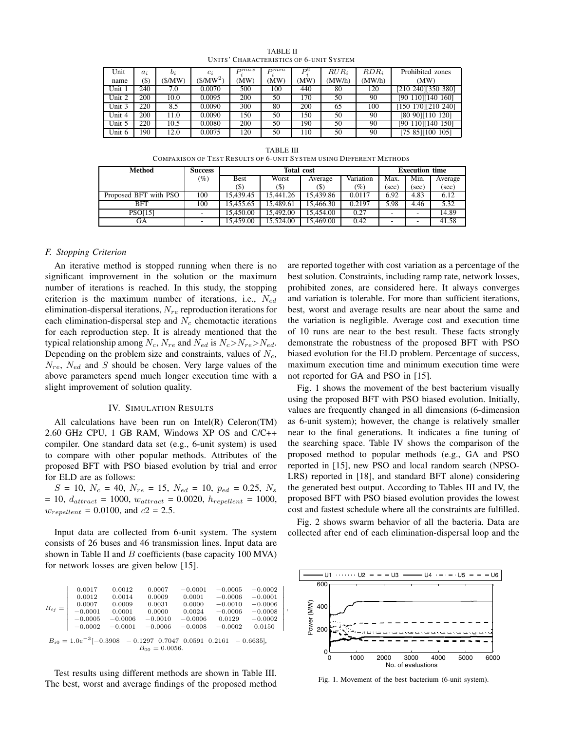| Unit   | $a_i$  | $b_i$  | $c_i$                 | $_{\Gamma}$ $_{\Gamma}$ | Dmnn | $D^{0}$ | $RUR_i$ | $RDR_i$ | Prohibited zones   |
|--------|--------|--------|-----------------------|-------------------------|------|---------|---------|---------|--------------------|
| name   | $(\$)$ | (S/MW) | (\$/MW <sup>2</sup> ) | MW)                     | (MW) | (MW     | (MW/h)  | (MW/h)  | (MW)               |
| Unit 1 | 240    | 7.0    | 0.0070                | 500                     | 100  | 440     | 80      | 120     | [210 240][350 380] |
| Unit 2 | 200    | 10.0   | 0.0095                | 200                     | 50   | 170     | 50      | 90      | [90 110][140 160]  |
| Unit 3 | 220    | 8.5    | 0.0090                | 300                     | 80   | 200     | 65      | 100     | [150 170][210 240] |
| Unit 4 | 200    | 11.0   | 0.0090                | 150                     | 50   | 150     | 50      | 90      | [80 90][110 120]   |
| Unit 5 | 220    | 10.5   | 0.0080                | 200                     | 50   | 190     | 50      | 90      | [90 110][140 150]  |
| Unit 6 | 90     | 12.0   | 0.0075                | 120                     | 50   | -10     | 50      | 90      | [75 85][100 105]   |

TABLE II UNITS' CHARACTERISTICS OF 6-UNIT SYSTEM

| v.<br>ъ<br>г |  |
|--------------|--|
|              |  |

COMPARISON OF TEST RESULTS OF 6-UNIT SYSTEM USING DIFFERENT METHODS

| Method                | <b>Success</b>           | <b>Total cost</b> |           |           |           |          | <b>Execution time</b> |         |  |
|-----------------------|--------------------------|-------------------|-----------|-----------|-----------|----------|-----------------------|---------|--|
|                       | $(\%)$                   | <b>Best</b>       | Worst     | Average   | Variation | Max.     | Min.                  | Average |  |
|                       |                          | $(\$)$            | (S)       | (\$)      | $(\%)$    | $(\sec)$ | (sec)                 | (sec)   |  |
| Proposed BFT with PSO | 100                      | 15.439.45         | 15.441.26 | 15.439.86 | 0.0117    | 6.92     | 4.83                  | 6.12    |  |
| <b>BFT</b>            | 100                      | 15.455.65         | 15.489.61 | 15,466.30 | 0.2197    | 5.98     | 4.46                  | 5.32    |  |
| <b>PSO[15]</b>        |                          | 15,450.00         | 15.492.00 | 15,454.00 | 0.27      |          |                       | 14.89   |  |
| GА                    | $\overline{\phantom{a}}$ | 15.459.00         | 15.524.00 | 15,469.00 | 0.42      |          |                       | 41.58   |  |

 $\overline{\phantom{a}}$  $\overline{\phantom{a}}$  $\overline{\phantom{a}}$  $\overline{\phantom{a}}$  $\overline{\phantom{a}}$  $\overline{\phantom{a}}$  $\overline{\phantom{a}}$  $\overline{\phantom{a}}$ 

*,*

## *F. Stopping Criterion*

An iterative method is stopped running when there is no significant improvement in the solution or the maximum number of iterations is reached. In this study, the stopping criterion is the maximum number of iterations, i.e., *Ned* elimination-dispersal iterations, *Nre* reproduction iterations for each elimination-dispersal step and *N<sup>c</sup>* chemotactic iterations for each reproduction step. It is already mentioned that the typical relationship among  $N_c$ ,  $N_{re}$  and  $N_{ed}$  is  $N_c > N_{re} > N_{ed}$ . Depending on the problem size and constraints, values of *Nc*, *Nre*, *Ned* and *S* should be chosen. Very large values of the above parameters spend much longer execution time with a slight improvement of solution quality.

#### IV. SIMULATION RESULTS

All calculations have been run on Intel(R) Celeron(TM) 2.60 GHz CPU, 1 GB RAM, Windows XP OS and C/C++ compiler. One standard data set (e.g., 6-unit system) is used to compare with other popular methods. Attributes of the proposed BFT with PSO biased evolution by trial and error for ELD are as follows:

 $S = 10$ ,  $N_c = 40$ ,  $N_{re} = 15$ ,  $N_{ed} = 10$ ,  $p_{ed} = 0.25$ ,  $N_s$ = 10, *dattract* = 1000, *wattract* = 0.0020, *hrepellent* = 1000, *wrepellent* = 0.0100, and *c*2 = 2.5.

Input data are collected from 6-unit system. The system consists of 26 buses and 46 transmission lines. Input data are shown in Table II and *B* coefficients (base capacity 100 MVA) for network losses are given below [15].

|                                                                             | 0.0017             | 0.0012    | 0.0007    | $-0.0001$ | $-0.0005$ | $-0.0002$ |  |  |  |  |
|-----------------------------------------------------------------------------|--------------------|-----------|-----------|-----------|-----------|-----------|--|--|--|--|
| $B_{ij} =$                                                                  | 0.0012             | 0.0014    | 0.0009    | 0.0001    | $-0.0006$ | $-0.0001$ |  |  |  |  |
|                                                                             | 0.0007             | 0.0009    | 0.0031    | 0.0000    | $-0.0010$ | $-0.0006$ |  |  |  |  |
|                                                                             | $-0.0001$          | 0.0001    | 0.0000    | 0.0024    | $-0.0006$ | $-0.0008$ |  |  |  |  |
|                                                                             | $-0.0005$          | $-0.0006$ | $-0.0010$ | $-0.0006$ | 0.0129    | $-0.0002$ |  |  |  |  |
|                                                                             | $-0.0002$          | $-0.0001$ | $-0.0006$ | $-0.0008$ | $-0.0002$ | 0.0150    |  |  |  |  |
| $B_{i0} = 1.0e^{-3}[-0.3908 - 0.1297 \ 0.7047 \ 0.0591 \ 0.2161 - 0.6635],$ |                    |           |           |           |           |           |  |  |  |  |
|                                                                             | $B_{00} = 0.0056.$ |           |           |           |           |           |  |  |  |  |

Test results using different methods are shown in Table III. The best, worst and average findings of the proposed method are reported together with cost variation as a percentage of the best solution. Constraints, including ramp rate, network losses, prohibited zones, are considered here. It always converges and variation is tolerable. For more than sufficient iterations, best, worst and average results are near about the same and the variation is negligible. Average cost and execution time of 10 runs are near to the best result. These facts strongly demonstrate the robustness of the proposed BFT with PSO biased evolution for the ELD problem. Percentage of success, maximum execution time and minimum execution time were not reported for GA and PSO in [15].

Fig. 1 shows the movement of the best bacterium visually using the proposed BFT with PSO biased evolution. Initially, values are frequently changed in all dimensions (6-dimension as 6-unit system); however, the change is relatively smaller near to the final generations. It indicates a fine tuning of the searching space. Table IV shows the comparison of the proposed method to popular methods (e.g., GA and PSO reported in [15], new PSO and local random search (NPSO-LRS) reported in [18], and standard BFT alone) considering the generated best output. According to Tables III and IV, the proposed BFT with PSO biased evolution provides the lowest cost and fastest schedule where all the constraints are fulfilled.

Fig. 2 shows swarm behavior of all the bacteria. Data are collected after end of each elimination-dispersal loop and the



Fig. 1. Movement of the best bacterium (6-unit system).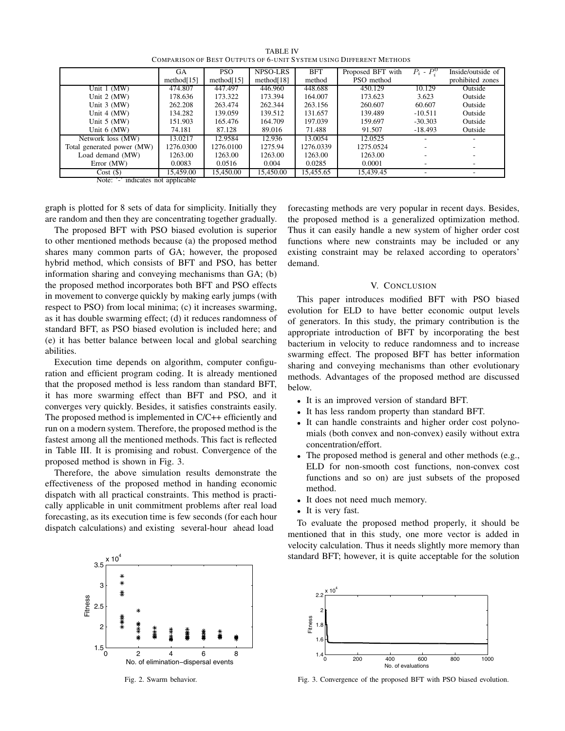|                                   | GА            | <b>PSO</b>    | NPSO-LRS      | <b>BFT</b> | Proposed BFT with | $P_i$ - $P_i^0$          | Inside/outside of        |
|-----------------------------------|---------------|---------------|---------------|------------|-------------------|--------------------------|--------------------------|
|                                   | method $[15]$ | method $[15]$ | method $[18]$ | method     | PSO method        |                          | prohibited zones         |
| Unit $1$ (MW)                     | 474.807       | 447.497       | 446.960       | 448.688    | 450.129           | 10.129                   | Outside                  |
| Unit $2 \, (MW)$                  | 178.636       | 173.322       | 173.394       | 164.007    | 173.623           | 3.623                    | Outside                  |
| Unit $3 \, (MW)$                  | 262.208       | 263.474       | 262.344       | 263.156    | 260.607           | 60.607                   | Outside                  |
| Unit $4 \, (MW)$                  | 134.282       | 139.059       | 139.512       | 131.657    | 139.489           | $-10.511$                | Outside                  |
| Unit $5$ (MW)                     | 151.903       | 165.476       | 164.709       | 197.039    | 159.697           | $-30.303$                | Outside                  |
| Unit $6$ (MW)                     | 74.181        | 87.128        | 89.016        | 71.488     | 91.507            | $-18.493$                | Outside                  |
| Network loss (MW)                 | 13.0217       | 12.9584       | 12.936        | 13.0054    | 12.0525           |                          |                          |
| Total generated power (MW)        | 1276.0300     | 1276.0100     | 1275.94       | 1276.0339  | 1275.0524         | ۰                        |                          |
| Load demand (MW)                  | 1263.00       | 1263.00       | 1263.00       | 1263.00    | 1263.00           |                          |                          |
| Error (MW)                        | 0.0083        | 0.0516        | 0.004         | 0.0285     | 0.0001            | ۰                        |                          |
| Cost(S)                           | 15.459.00     | 15,450.00     | 15.450.00     | 15,455.65  | 15,439.45         | $\overline{\phantom{a}}$ | $\overline{\phantom{a}}$ |
| Note: '' indicates not applicable |               |               |               |            |                   |                          |                          |

TABLE IV COMPARISON OF BEST OUTPUTS OF 6-UNIT SYSTEM USING DIFFERENT METHODS

Note: '-' indicates not applicable

graph is plotted for 8 sets of data for simplicity. Initially they are random and then they are concentrating together gradually.

The proposed BFT with PSO biased evolution is superior to other mentioned methods because (a) the proposed method shares many common parts of GA; however, the proposed hybrid method, which consists of BFT and PSO, has better information sharing and conveying mechanisms than GA; (b) the proposed method incorporates both BFT and PSO effects in movement to converge quickly by making early jumps (with respect to PSO) from local minima; (c) it increases swarming, as it has double swarming effect; (d) it reduces randomness of standard BFT, as PSO biased evolution is included here; and (e) it has better balance between local and global searching abilities.

Execution time depends on algorithm, computer configuration and efficient program coding. It is already mentioned that the proposed method is less random than standard BFT, it has more swarming effect than BFT and PSO, and it converges very quickly. Besides, it satisfies constraints easily. The proposed method is implemented in C/C++ efficiently and run on a modern system. Therefore, the proposed method is the fastest among all the mentioned methods. This fact is reflected in Table III. It is promising and robust. Convergence of the proposed method is shown in Fig. 3.

Therefore, the above simulation results demonstrate the effectiveness of the proposed method in handing economic dispatch with all practical constraints. This method is practically applicable in unit commitment problems after real load forecasting, as its execution time is few seconds (for each hour dispatch calculations) and existing several-hour ahead load



Fig. 2. Swarm behavior.

forecasting methods are very popular in recent days. Besides, the proposed method is a generalized optimization method. Thus it can easily handle a new system of higher order cost functions where new constraints may be included or any existing constraint may be relaxed according to operators' demand.

# V. CONCLUSION

This paper introduces modified BFT with PSO biased evolution for ELD to have better economic output levels of generators. In this study, the primary contribution is the appropriate introduction of BFT by incorporating the best bacterium in velocity to reduce randomness and to increase swarming effect. The proposed BFT has better information sharing and conveying mechanisms than other evolutionary methods. Advantages of the proposed method are discussed below.

- It is an improved version of standard BFT.
- It has less random property than standard BFT.
- It can handle constraints and higher order cost polynomials (both convex and non-convex) easily without extra concentration/effort.
- The proposed method is general and other methods (e.g., ELD for non-smooth cost functions, non-convex cost functions and so on) are just subsets of the proposed method.
- It does not need much memory.
- It is very fast.

To evaluate the proposed method properly, it should be mentioned that in this study, one more vector is added in velocity calculation. Thus it needs slightly more memory than standard BFT; however, it is quite acceptable for the solution



Fig. 3. Convergence of the proposed BFT with PSO biased evolution.